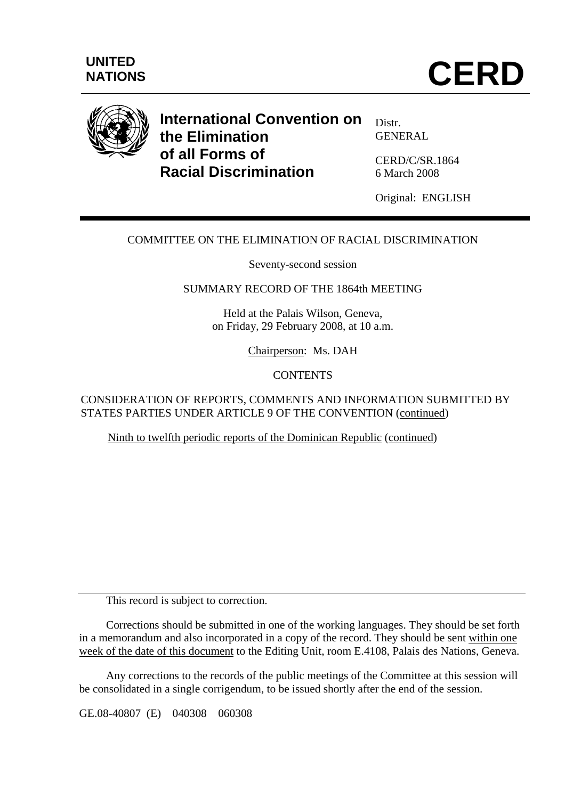

# **International Convention on the Elimination of all Forms of Racial Discrimination**

Distr. GENERAL

CERD/C/SR.1864 6 March 2008

Original: ENGLISH

# COMMITTEE ON THE ELIMINATION OF RACIAL DISCRIMINATION

Seventy-second session

## SUMMARY RECORD OF THE 1864th MEETING

Held at the Palais Wilson, Geneva, on Friday, 29 February 2008, at 10 a.m.

Chairperson: Ms. DAH

#### **CONTENTS**

CONSIDERATION OF REPORTS, COMMENTS AND INFORMATION SUBMITTED BY STATES PARTIES UNDER ARTICLE 9 OF THE CONVENTION (continued)

Ninth to twelfth periodic reports of the Dominican Republic (continued)

This record is subject to correction.

 Corrections should be submitted in one of the working languages. They should be set forth in a memorandum and also incorporated in a copy of the record. They should be sent within one week of the date of this document to the Editing Unit, room E.4108, Palais des Nations, Geneva.

 Any corrections to the records of the public meetings of the Committee at this session will be consolidated in a single corrigendum, to be issued shortly after the end of the session.

GE.08-40807 (E) 040308 060308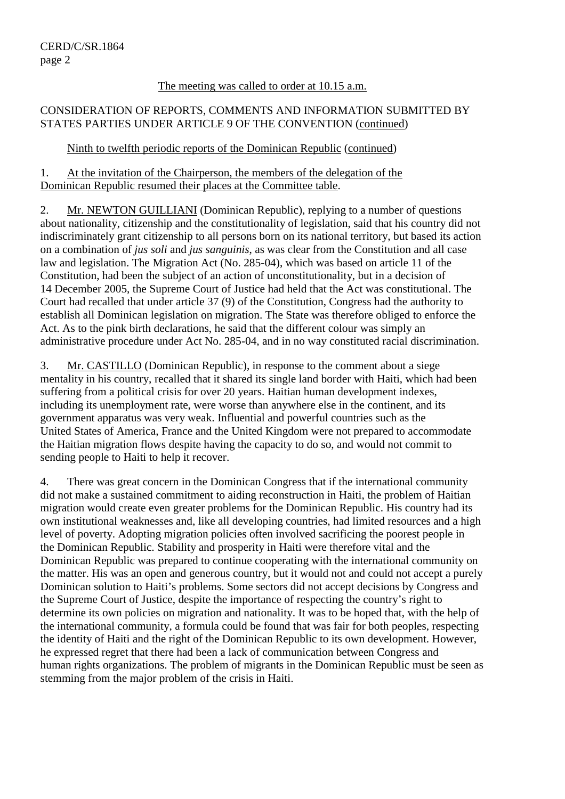#### The meeting was called to order at 10.15 a.m.

## CONSIDERATION OF REPORTS, COMMENTS AND INFORMATION SUBMITTED BY STATES PARTIES UNDER ARTICLE 9 OF THE CONVENTION (continued)

# Ninth to twelfth periodic reports of the Dominican Republic (continued)

1. At the invitation of the Chairperson, the members of the delegation of the Dominican Republic resumed their places at the Committee table.

2. Mr. NEWTON GUILLIANI (Dominican Republic), replying to a number of questions about nationality, citizenship and the constitutionality of legislation, said that his country did not indiscriminately grant citizenship to all persons born on its national territory, but based its action on a combination of *jus soli* and *jus sanguinis*, as was clear from the Constitution and all case law and legislation. The Migration Act (No. 285-04), which was based on article 11 of the Constitution, had been the subject of an action of unconstitutionality, but in a decision of 14 December 2005, the Supreme Court of Justice had held that the Act was constitutional. The Court had recalled that under article 37 (9) of the Constitution, Congress had the authority to establish all Dominican legislation on migration. The State was therefore obliged to enforce the Act. As to the pink birth declarations, he said that the different colour was simply an administrative procedure under Act No. 285-04, and in no way constituted racial discrimination.

3. Mr. CASTILLO (Dominican Republic), in response to the comment about a siege mentality in his country, recalled that it shared its single land border with Haiti, which had been suffering from a political crisis for over 20 years. Haitian human development indexes, including its unemployment rate, were worse than anywhere else in the continent, and its government apparatus was very weak. Influential and powerful countries such as the United States of America, France and the United Kingdom were not prepared to accommodate the Haitian migration flows despite having the capacity to do so, and would not commit to sending people to Haiti to help it recover.

4. There was great concern in the Dominican Congress that if the international community did not make a sustained commitment to aiding reconstruction in Haiti, the problem of Haitian migration would create even greater problems for the Dominican Republic. His country had its own institutional weaknesses and, like all developing countries, had limited resources and a high level of poverty. Adopting migration policies often involved sacrificing the poorest people in the Dominican Republic. Stability and prosperity in Haiti were therefore vital and the Dominican Republic was prepared to continue cooperating with the international community on the matter. His was an open and generous country, but it would not and could not accept a purely Dominican solution to Haiti's problems. Some sectors did not accept decisions by Congress and the Supreme Court of Justice, despite the importance of respecting the country's right to determine its own policies on migration and nationality. It was to be hoped that, with the help of the international community, a formula could be found that was fair for both peoples, respecting the identity of Haiti and the right of the Dominican Republic to its own development. However, he expressed regret that there had been a lack of communication between Congress and human rights organizations. The problem of migrants in the Dominican Republic must be seen as stemming from the major problem of the crisis in Haiti.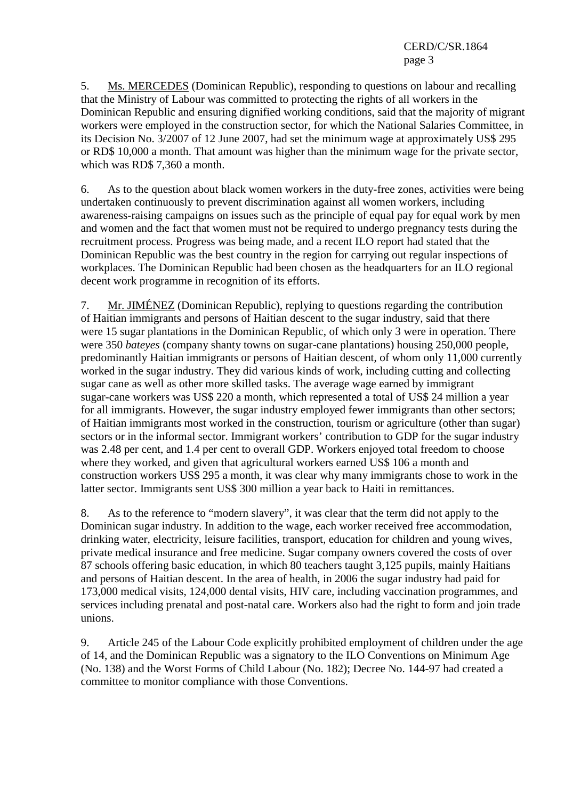CERD/C/SR.1864 page 3

5. Ms. MERCEDES (Dominican Republic), responding to questions on labour and recalling that the Ministry of Labour was committed to protecting the rights of all workers in the Dominican Republic and ensuring dignified working conditions, said that the majority of migrant workers were employed in the construction sector, for which the National Salaries Committee, in its Decision No. 3/2007 of 12 June 2007, had set the minimum wage at approximately US\$ 295 or RD\$ 10,000 a month. That amount was higher than the minimum wage for the private sector, which was RD\$ 7,360 a month.

6. As to the question about black women workers in the duty-free zones, activities were being undertaken continuously to prevent discrimination against all women workers, including awareness-raising campaigns on issues such as the principle of equal pay for equal work by men and women and the fact that women must not be required to undergo pregnancy tests during the recruitment process. Progress was being made, and a recent ILO report had stated that the Dominican Republic was the best country in the region for carrying out regular inspections of workplaces. The Dominican Republic had been chosen as the headquarters for an ILO regional decent work programme in recognition of its efforts.

7. Mr. JIMÉNEZ (Dominican Republic), replying to questions regarding the contribution of Haitian immigrants and persons of Haitian descent to the sugar industry, said that there were 15 sugar plantations in the Dominican Republic, of which only 3 were in operation. There were 350 *bateyes* (company shanty towns on sugar-cane plantations) housing 250,000 people, predominantly Haitian immigrants or persons of Haitian descent, of whom only 11,000 currently worked in the sugar industry. They did various kinds of work, including cutting and collecting sugar cane as well as other more skilled tasks. The average wage earned by immigrant sugar-cane workers was US\$ 220 a month, which represented a total of US\$ 24 million a year for all immigrants. However, the sugar industry employed fewer immigrants than other sectors; of Haitian immigrants most worked in the construction, tourism or agriculture (other than sugar) sectors or in the informal sector. Immigrant workers' contribution to GDP for the sugar industry was 2.48 per cent, and 1.4 per cent to overall GDP. Workers enjoyed total freedom to choose where they worked, and given that agricultural workers earned US\$ 106 a month and construction workers US\$ 295 a month, it was clear why many immigrants chose to work in the latter sector. Immigrants sent US\$ 300 million a year back to Haiti in remittances.

8. As to the reference to "modern slavery", it was clear that the term did not apply to the Dominican sugar industry. In addition to the wage, each worker received free accommodation, drinking water, electricity, leisure facilities, transport, education for children and young wives, private medical insurance and free medicine. Sugar company owners covered the costs of over 87 schools offering basic education, in which 80 teachers taught 3,125 pupils, mainly Haitians and persons of Haitian descent. In the area of health, in 2006 the sugar industry had paid for 173,000 medical visits, 124,000 dental visits, HIV care, including vaccination programmes, and services including prenatal and post-natal care. Workers also had the right to form and join trade unions.

9. Article 245 of the Labour Code explicitly prohibited employment of children under the age of 14, and the Dominican Republic was a signatory to the ILO Conventions on Minimum Age (No. 138) and the Worst Forms of Child Labour (No. 182); Decree No. 144-97 had created a committee to monitor compliance with those Conventions.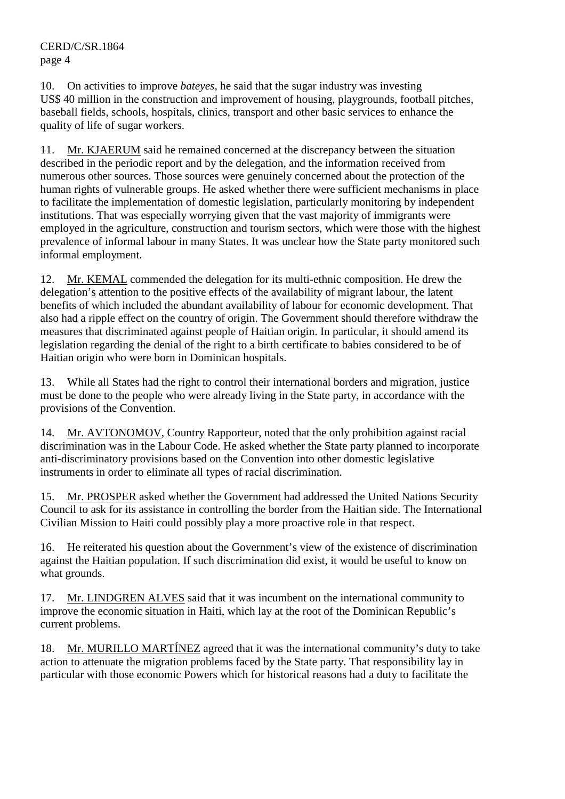CERD/C/SR.1864 page 4

10. On activities to improve *bateyes*, he said that the sugar industry was investing US\$ 40 million in the construction and improvement of housing, playgrounds, football pitches, baseball fields, schools, hospitals, clinics, transport and other basic services to enhance the quality of life of sugar workers.

11. Mr. KJAERUM said he remained concerned at the discrepancy between the situation described in the periodic report and by the delegation, and the information received from numerous other sources. Those sources were genuinely concerned about the protection of the human rights of vulnerable groups. He asked whether there were sufficient mechanisms in place to facilitate the implementation of domestic legislation, particularly monitoring by independent institutions. That was especially worrying given that the vast majority of immigrants were employed in the agriculture, construction and tourism sectors, which were those with the highest prevalence of informal labour in many States. It was unclear how the State party monitored such informal employment.

12. Mr. KEMAL commended the delegation for its multi-ethnic composition. He drew the delegation's attention to the positive effects of the availability of migrant labour, the latent benefits of which included the abundant availability of labour for economic development. That also had a ripple effect on the country of origin. The Government should therefore withdraw the measures that discriminated against people of Haitian origin. In particular, it should amend its legislation regarding the denial of the right to a birth certificate to babies considered to be of Haitian origin who were born in Dominican hospitals.

13. While all States had the right to control their international borders and migration, justice must be done to the people who were already living in the State party, in accordance with the provisions of the Convention.

14. Mr. AVTONOMOV, Country Rapporteur, noted that the only prohibition against racial discrimination was in the Labour Code. He asked whether the State party planned to incorporate anti-discriminatory provisions based on the Convention into other domestic legislative instruments in order to eliminate all types of racial discrimination.

15. Mr. PROSPER asked whether the Government had addressed the United Nations Security Council to ask for its assistance in controlling the border from the Haitian side. The International Civilian Mission to Haiti could possibly play a more proactive role in that respect.

16. He reiterated his question about the Government's view of the existence of discrimination against the Haitian population. If such discrimination did exist, it would be useful to know on what grounds.

17. Mr. LINDGREN ALVES said that it was incumbent on the international community to improve the economic situation in Haiti, which lay at the root of the Dominican Republic's current problems.

18. Mr. MURILLO MARTÍNEZ agreed that it was the international community's duty to take action to attenuate the migration problems faced by the State party. That responsibility lay in particular with those economic Powers which for historical reasons had a duty to facilitate the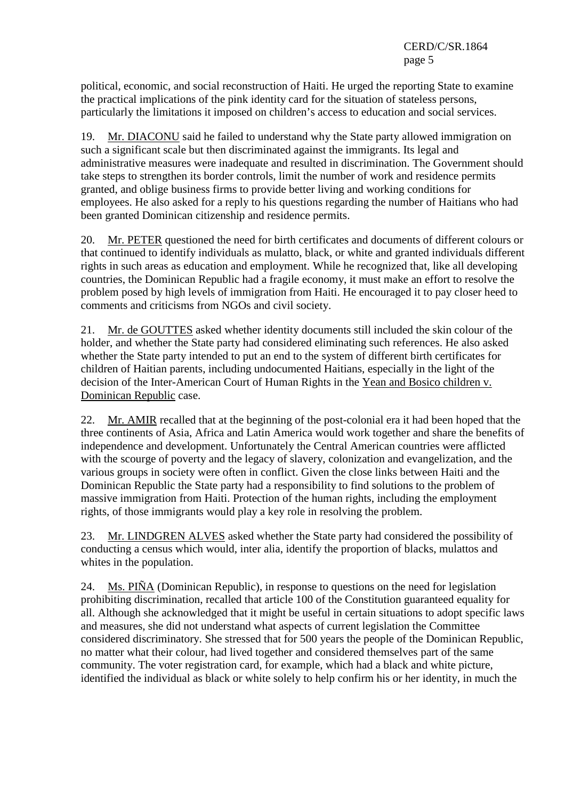political, economic, and social reconstruction of Haiti. He urged the reporting State to examine the practical implications of the pink identity card for the situation of stateless persons, particularly the limitations it imposed on children's access to education and social services.

19. Mr. DIACONU said he failed to understand why the State party allowed immigration on such a significant scale but then discriminated against the immigrants. Its legal and administrative measures were inadequate and resulted in discrimination. The Government should take steps to strengthen its border controls, limit the number of work and residence permits granted, and oblige business firms to provide better living and working conditions for employees. He also asked for a reply to his questions regarding the number of Haitians who had been granted Dominican citizenship and residence permits.

20. Mr. PETER questioned the need for birth certificates and documents of different colours or that continued to identify individuals as mulatto, black, or white and granted individuals different rights in such areas as education and employment. While he recognized that, like all developing countries, the Dominican Republic had a fragile economy, it must make an effort to resolve the problem posed by high levels of immigration from Haiti. He encouraged it to pay closer heed to comments and criticisms from NGOs and civil society.

21. Mr. de GOUTTES asked whether identity documents still included the skin colour of the holder, and whether the State party had considered eliminating such references. He also asked whether the State party intended to put an end to the system of different birth certificates for children of Haitian parents, including undocumented Haitians, especially in the light of the decision of the Inter-American Court of Human Rights in the Yean and Bosico children v. Dominican Republic case.

22. Mr. AMIR recalled that at the beginning of the post-colonial era it had been hoped that the three continents of Asia, Africa and Latin America would work together and share the benefits of independence and development. Unfortunately the Central American countries were afflicted with the scourge of poverty and the legacy of slavery, colonization and evangelization, and the various groups in society were often in conflict. Given the close links between Haiti and the Dominican Republic the State party had a responsibility to find solutions to the problem of massive immigration from Haiti. Protection of the human rights, including the employment rights, of those immigrants would play a key role in resolving the problem.

23. Mr. LINDGREN ALVES asked whether the State party had considered the possibility of conducting a census which would, inter alia, identify the proportion of blacks, mulattos and whites in the population.

24. Ms. PIÑA (Dominican Republic), in response to questions on the need for legislation prohibiting discrimination, recalled that article 100 of the Constitution guaranteed equality for all. Although she acknowledged that it might be useful in certain situations to adopt specific laws and measures, she did not understand what aspects of current legislation the Committee considered discriminatory. She stressed that for 500 years the people of the Dominican Republic, no matter what their colour, had lived together and considered themselves part of the same community. The voter registration card, for example, which had a black and white picture, identified the individual as black or white solely to help confirm his or her identity, in much the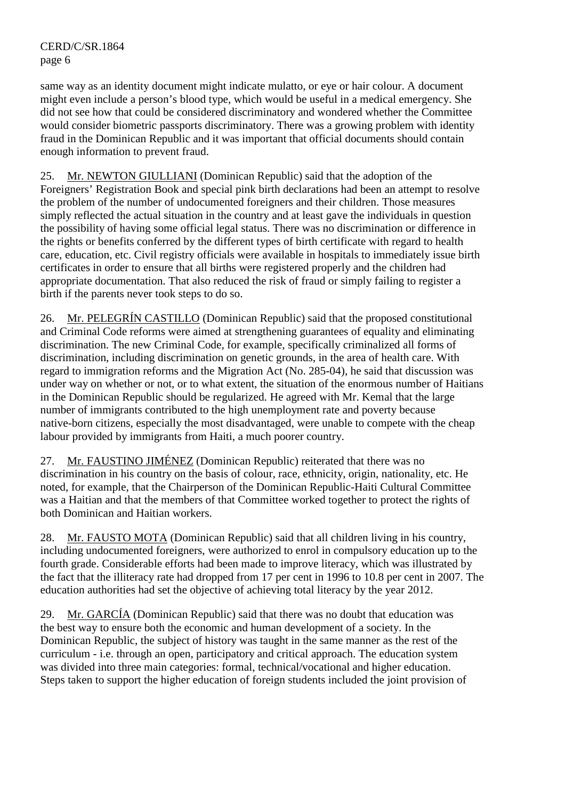same way as an identity document might indicate mulatto, or eye or hair colour. A document might even include a person's blood type, which would be useful in a medical emergency. She did not see how that could be considered discriminatory and wondered whether the Committee would consider biometric passports discriminatory. There was a growing problem with identity fraud in the Dominican Republic and it was important that official documents should contain enough information to prevent fraud.

25. Mr. NEWTON GIULLIANI (Dominican Republic) said that the adoption of the Foreigners' Registration Book and special pink birth declarations had been an attempt to resolve the problem of the number of undocumented foreigners and their children. Those measures simply reflected the actual situation in the country and at least gave the individuals in question the possibility of having some official legal status. There was no discrimination or difference in the rights or benefits conferred by the different types of birth certificate with regard to health care, education, etc. Civil registry officials were available in hospitals to immediately issue birth certificates in order to ensure that all births were registered properly and the children had appropriate documentation. That also reduced the risk of fraud or simply failing to register a birth if the parents never took steps to do so.

26. Mr. PELEGRÍN CASTILLO (Dominican Republic) said that the proposed constitutional and Criminal Code reforms were aimed at strengthening guarantees of equality and eliminating discrimination. The new Criminal Code, for example, specifically criminalized all forms of discrimination, including discrimination on genetic grounds, in the area of health care. With regard to immigration reforms and the Migration Act (No. 285-04), he said that discussion was under way on whether or not, or to what extent, the situation of the enormous number of Haitians in the Dominican Republic should be regularized. He agreed with Mr. Kemal that the large number of immigrants contributed to the high unemployment rate and poverty because native-born citizens, especially the most disadvantaged, were unable to compete with the cheap labour provided by immigrants from Haiti, a much poorer country.

27. Mr. FAUSTINO JIMÉNEZ (Dominican Republic) reiterated that there was no discrimination in his country on the basis of colour, race, ethnicity, origin, nationality, etc. He noted, for example, that the Chairperson of the Dominican Republic-Haiti Cultural Committee was a Haitian and that the members of that Committee worked together to protect the rights of both Dominican and Haitian workers.

28. Mr. FAUSTO MOTA (Dominican Republic) said that all children living in his country, including undocumented foreigners, were authorized to enrol in compulsory education up to the fourth grade. Considerable efforts had been made to improve literacy, which was illustrated by the fact that the illiteracy rate had dropped from 17 per cent in 1996 to 10.8 per cent in 2007. The education authorities had set the objective of achieving total literacy by the year 2012.

29. Mr. GARCÍA (Dominican Republic) said that there was no doubt that education was the best way to ensure both the economic and human development of a society. In the Dominican Republic, the subject of history was taught in the same manner as the rest of the curriculum - i.e. through an open, participatory and critical approach. The education system was divided into three main categories: formal, technical/vocational and higher education. Steps taken to support the higher education of foreign students included the joint provision of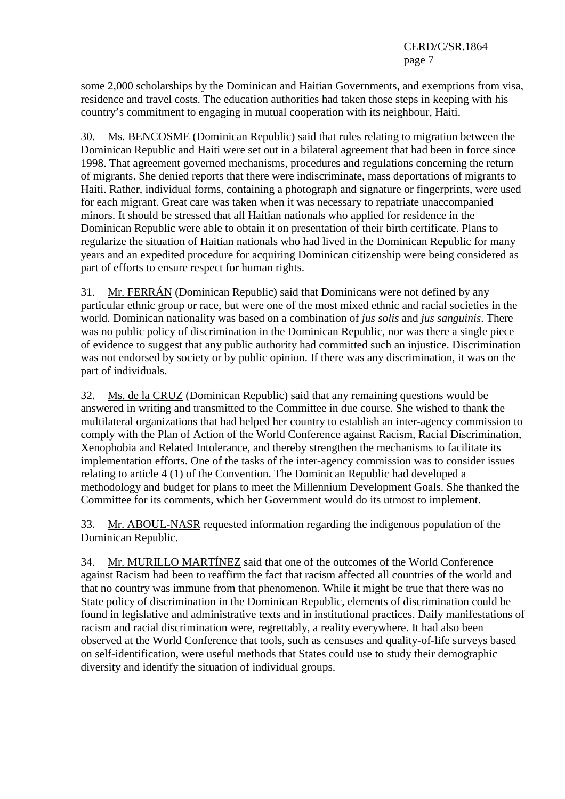some 2,000 scholarships by the Dominican and Haitian Governments, and exemptions from visa, residence and travel costs. The education authorities had taken those steps in keeping with his country's commitment to engaging in mutual cooperation with its neighbour, Haiti.

30. Ms. BENCOSME (Dominican Republic) said that rules relating to migration between the Dominican Republic and Haiti were set out in a bilateral agreement that had been in force since 1998. That agreement governed mechanisms, procedures and regulations concerning the return of migrants. She denied reports that there were indiscriminate, mass deportations of migrants to Haiti. Rather, individual forms, containing a photograph and signature or fingerprints, were used for each migrant. Great care was taken when it was necessary to repatriate unaccompanied minors. It should be stressed that all Haitian nationals who applied for residence in the Dominican Republic were able to obtain it on presentation of their birth certificate. Plans to regularize the situation of Haitian nationals who had lived in the Dominican Republic for many years and an expedited procedure for acquiring Dominican citizenship were being considered as part of efforts to ensure respect for human rights.

31. Mr. FERRÁN (Dominican Republic) said that Dominicans were not defined by any particular ethnic group or race, but were one of the most mixed ethnic and racial societies in the world. Dominican nationality was based on a combination of *jus solis* and *jus sanguinis*. There was no public policy of discrimination in the Dominican Republic, nor was there a single piece of evidence to suggest that any public authority had committed such an injustice. Discrimination was not endorsed by society or by public opinion. If there was any discrimination, it was on the part of individuals.

32. Ms. de la CRUZ (Dominican Republic) said that any remaining questions would be answered in writing and transmitted to the Committee in due course. She wished to thank the multilateral organizations that had helped her country to establish an inter-agency commission to comply with the Plan of Action of the World Conference against Racism, Racial Discrimination, Xenophobia and Related Intolerance, and thereby strengthen the mechanisms to facilitate its implementation efforts. One of the tasks of the inter-agency commission was to consider issues relating to article 4 (1) of the Convention. The Dominican Republic had developed a methodology and budget for plans to meet the Millennium Development Goals. She thanked the Committee for its comments, which her Government would do its utmost to implement.

33. Mr. ABOUL-NASR requested information regarding the indigenous population of the Dominican Republic.

34. Mr. MURILLO MARTÍNEZ said that one of the outcomes of the World Conference against Racism had been to reaffirm the fact that racism affected all countries of the world and that no country was immune from that phenomenon. While it might be true that there was no State policy of discrimination in the Dominican Republic, elements of discrimination could be found in legislative and administrative texts and in institutional practices. Daily manifestations of racism and racial discrimination were, regrettably, a reality everywhere. It had also been observed at the World Conference that tools, such as censuses and quality-of-life surveys based on self-identification, were useful methods that States could use to study their demographic diversity and identify the situation of individual groups.